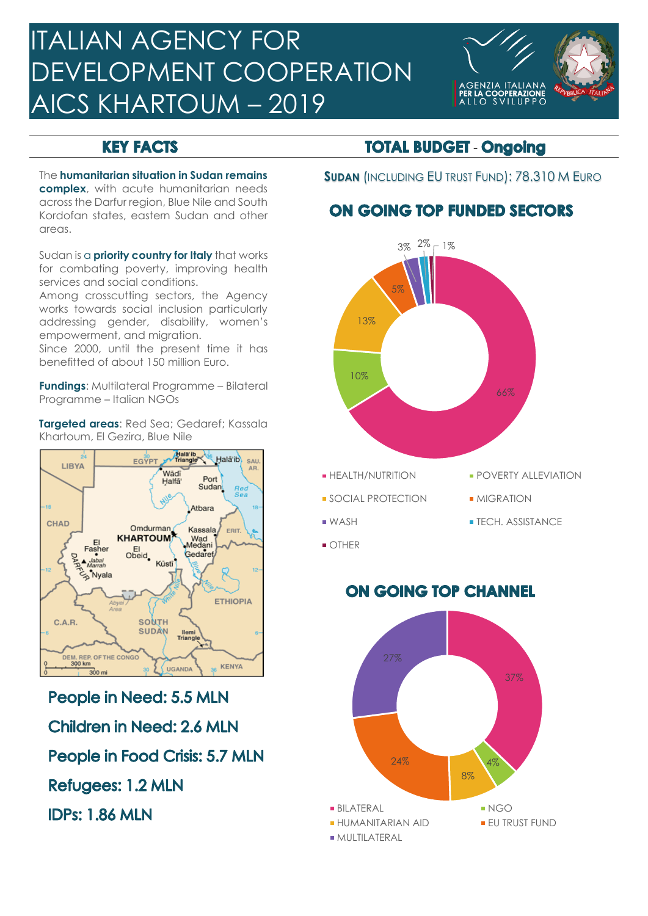# ITALIAN AGENCY FOR DEVELOPMENT COOPERATION AICS KHARTOUM – 2019



### **KEY FACTS**

**complex**, with acute humanitarian needs across the Darfur region, Blue Nile and South Kordofan states, eastern Sudan and other areas.

Sudan is a **priority country for Italy** that works for combating poverty, improving health services and social conditions.

Among crosscutting sectors, the Agency works towards social inclusion particularly addressing gender, disability, women's empowerment, and migration.

Since 2000, until the present time it has benefitted of about 150 million Euro.

**Fundings**: Multilateral Programme – Bilateral Programme – Italian NGOs

**Targeted areas**: Red Sea; Gedaref; Kassala Khartoum, El Gezira, Blue Nile



People in Need: 5.5 MLN **Children in Need: 2.6 MLN** People in Food Crisis: 5.7 MLN **Refugees: 1.2 MLN IDPs: 1.86 MLN** 

#### **TOTAL BUDGET - Ongoing**

The **humanitarian situation in Sudan remains SUDAN** (INCLUDING EU TRUST FUND): 78.310 M EURO

# **ON GOING TOP FUNDED SECTORS**



- 
- 
- 
- 
- WASH TECH. ASSISTANCE
- **OTHER**

## **ON GOING TOP CHANNEL**